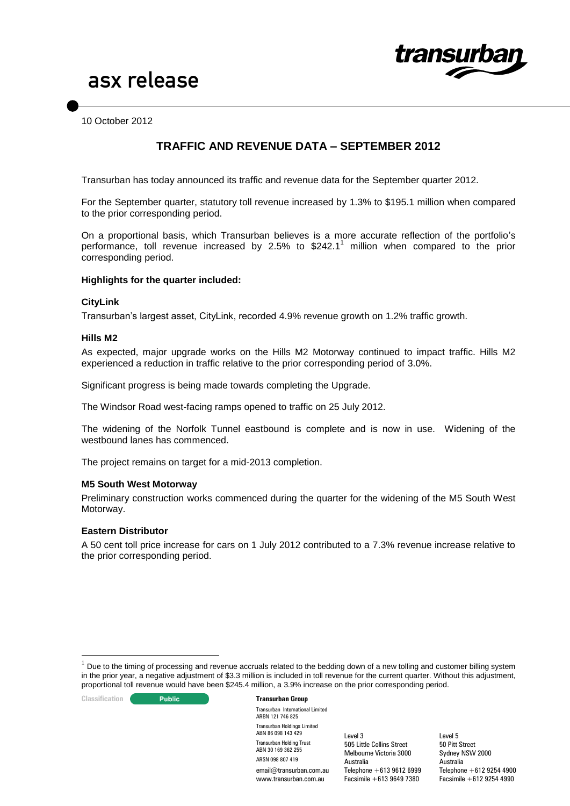

10 October 2012

# **TRAFFIC AND REVENUE DATA – SEPTEMBER 2012**

Transurban has today announced its traffic and revenue data for the September quarter 2012.

For the September quarter, statutory toll revenue increased by 1.3% to \$195.1 million when compared to the prior corresponding period.

On a proportional basis, which Transurban believes is a more accurate reflection of the portfolio's performance, toll revenue increased by 2.5% to  $$242.1<sup>1</sup>$  million when compared to the prior corresponding period.

# **Highlights for the quarter included:**

#### **CityLink**

Transurban's largest asset, CityLink, recorded 4.9% revenue growth on 1.2% traffic growth.

#### **Hills M2**

As expected, major upgrade works on the Hills M2 Motorway continued to impact traffic. Hills M2 experienced a reduction in traffic relative to the prior corresponding period of 3.0%.

Significant progress is being made towards completing the Upgrade.

The Windsor Road west-facing ramps opened to traffic on 25 July 2012.

The widening of the Norfolk Tunnel eastbound is complete and is now in use. Widening of the westbound lanes has commenced.

The project remains on target for a mid-2013 completion.

#### **M5 South West Motorway**

Preliminary construction works commenced during the quarter for the widening of the M5 South West Motorway.

#### **Eastern Distributor**

A 50 cent toll price increase for cars on 1 July 2012 contributed to a 7.3% revenue increase relative to the prior corresponding period.

**Classification C Public Transurban Group** 

<u>.</u>

Transurban International Limited ARBN 121 746 825 Transurban Holdings Limited ABN 86 098 143 429 Transurban Holding Trust ABN 30 169 362 255 ARSN 098 807 419

email@transurban.com.au www.transurban.com.au

Level 3 505 Little Collins Street Melbourne Victoria 3000 Australia Telephone +613 9612 6999 Facsimile +613 9649 7380

 $1$  Due to the timing of processing and revenue accruals related to the bedding down of a new tolling and customer billing system in the prior year, a negative adjustment of \$3.3 million is included in toll revenue for the current quarter. Without this adjustment, proportional toll revenue would have been \$245.4 million, a 3.9% increase on the prior corresponding period.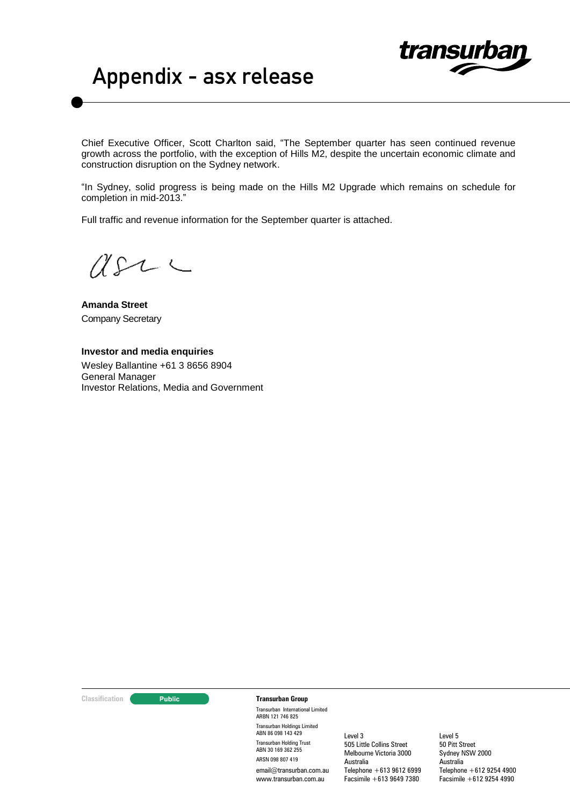

# Appendix - asx release

Chief Executive Officer, Scott Charlton said, "The September quarter has seen continued revenue growth across the portfolio, with the exception of Hills M2, despite the uncertain economic climate and construction disruption on the Sydney network.

"In Sydney, solid progress is being made on the Hills M2 Upgrade which remains on schedule for completion in mid-2013."

Full traffic and revenue information for the September quarter is attached.

 $USL \subset$ 

**Amanda Street** Company Secretary

# **Investor and media enquiries** Wesley Ballantine +61 3 8656 8904

General Manager Investor Relations, Media and Government

**Classification Transurban Group** 

Transurban International Limited ARBN 121 746 825 Transurban Holdings Limited ABN 86 098 143 429 Transurban Holding Trust ABN 30 169 362 255 ARSN 098 807 419 email@transurban.com.au www.transurban.com.au

Level 3 505 Little Collins Street Melbourne Victoria 3000 Australia Telephone +613 9612 6999 Facsimile +613 9649 7380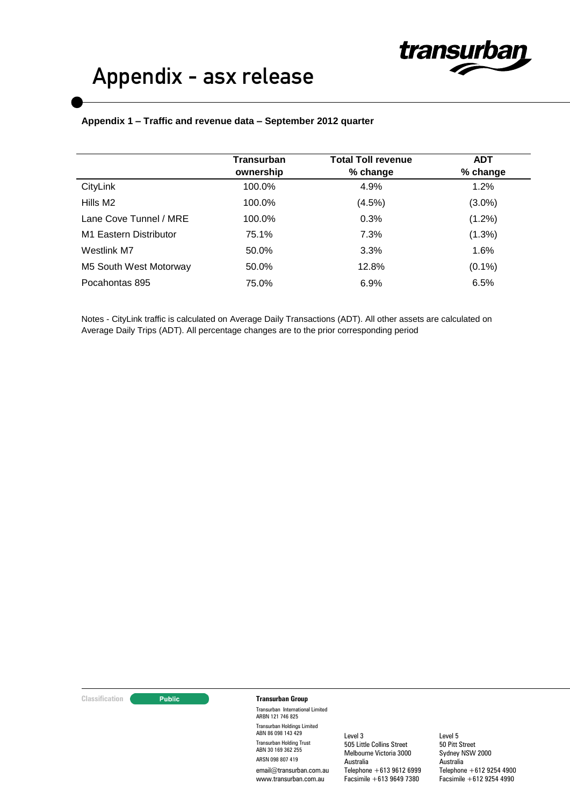# **Appendix 1 – Traffic and revenue data – September 2012 quarter**

|                        | <b>Transurban</b><br>ownership | <b>Total Toll revenue</b><br>% change | <b>ADT</b><br>% change |
|------------------------|--------------------------------|---------------------------------------|------------------------|
| CityLink               | 100.0%                         | 4.9%                                  | 1.2%                   |
| Hills M <sub>2</sub>   | 100.0%                         | (4.5%)                                | $(3.0\%)$              |
| Lane Cove Tunnel / MRE | 100.0%                         | 0.3%                                  | $(1.2\%)$              |
| M1 Eastern Distributor | 75.1%                          | 7.3%                                  | (1.3%)                 |
| Westlink M7            | 50.0%                          | 3.3%                                  | 1.6%                   |
| M5 South West Motorway | 50.0%                          | 12.8%                                 | $(0.1\%)$              |
| Pocahontas 895         | 75.0%                          | 6.9%                                  | 6.5%                   |

Notes - CityLink traffic is calculated on Average Daily Transactions (ADT). All other assets are calculated on Average Daily Trips (ADT). All percentage changes are to the prior corresponding period

**Classification Transurban Group** 

Transurban International Limited ARBN 121 746 825 Transurban Holdings Limited ABN 86 098 143 429 Transurban Holding Trust ABN 30 169 362 255 ARSN 098 807 419 email@transurban.com.au www.transurban.com.au

Level 3 505 Little Collins Street Melbourne Victoria 3000 Australia Telephone +613 9612 6999 Facsimile +613 9649 7380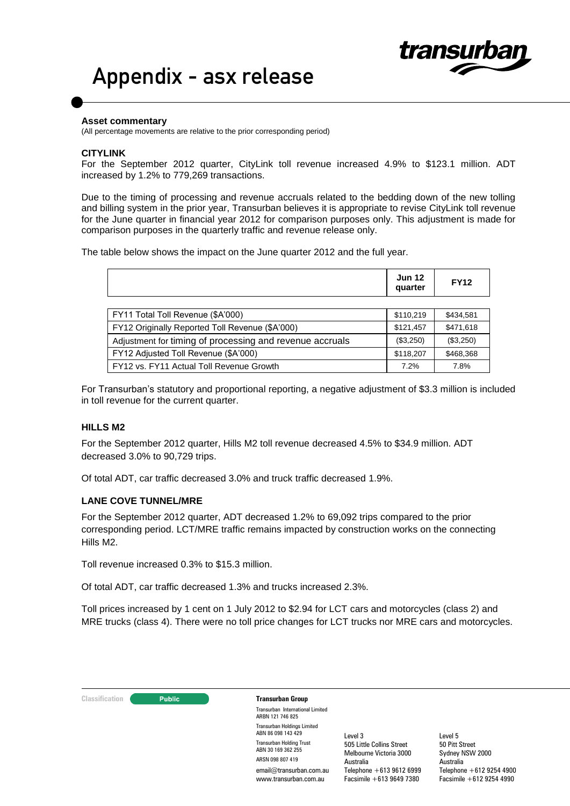# Appendix - asx release

#### **Asset commentary**

(All percentage movements are relative to the prior corresponding period)

# **CITYLINK**

For the September 2012 quarter, CityLink toll revenue increased 4.9% to \$123.1 million. ADT increased by 1.2% to 779,269 transactions.

transu

Due to the timing of processing and revenue accruals related to the bedding down of the new tolling and billing system in the prior year, Transurban believes it is appropriate to revise CityLink toll revenue for the June quarter in financial year 2012 for comparison purposes only. This adjustment is made for comparison purposes in the quarterly traffic and revenue release only.

The table below shows the impact on the June quarter 2012 and the full year.

|                                                          | <b>Jun 12</b><br>quarter | <b>FY12</b> |
|----------------------------------------------------------|--------------------------|-------------|
|                                                          |                          |             |
| FY11 Total Toll Revenue (\$A'000)                        |                          | \$434,581   |
| FY12 Originally Reported Toll Revenue (\$A'000)          | \$121,457                | \$471,618   |
| Adjustment for timing of processing and revenue accruals |                          | (\$3,250)   |
| FY12 Adjusted Toll Revenue (\$A'000)                     |                          | \$468,368   |
| FY12 vs. FY11 Actual Toll Revenue Growth                 | 7.2%                     | 7.8%        |

For Transurban's statutory and proportional reporting, a negative adjustment of \$3.3 million is included in toll revenue for the current quarter.

# **HILLS M2**

For the September 2012 quarter, Hills M2 toll revenue decreased 4.5% to \$34.9 million. ADT decreased 3.0% to 90,729 trips.

Of total ADT, car traffic decreased 3.0% and truck traffic decreased 1.9%.

# **LANE COVE TUNNEL/MRE**

For the September 2012 quarter, ADT decreased 1.2% to 69,092 trips compared to the prior corresponding period. LCT/MRE traffic remains impacted by construction works on the connecting Hills M2.

Toll revenue increased 0.3% to \$15.3 million.

Of total ADT, car traffic decreased 1.3% and trucks increased 2.3%.

Toll prices increased by 1 cent on 1 July 2012 to \$2.94 for LCT cars and motorcycles (class 2) and MRE trucks (class 4). There were no toll price changes for LCT trucks nor MRE cars and motorcycles.

**Classification Constitution Transurban Group** 

Transurban International Limited ARBN 121 746 825 Transurban Holdings Limited ABN 86 098 143 429 Transurban Holding Trust ABN 30 169 362 255 ARSN 098 807 419 email@transurban.com.au www.transurban.com.au

Level 3 505 Little Collins Street Melbourne Victoria 3000 Australia Telephone +613 9612 6999 Facsimile +613 9649 7380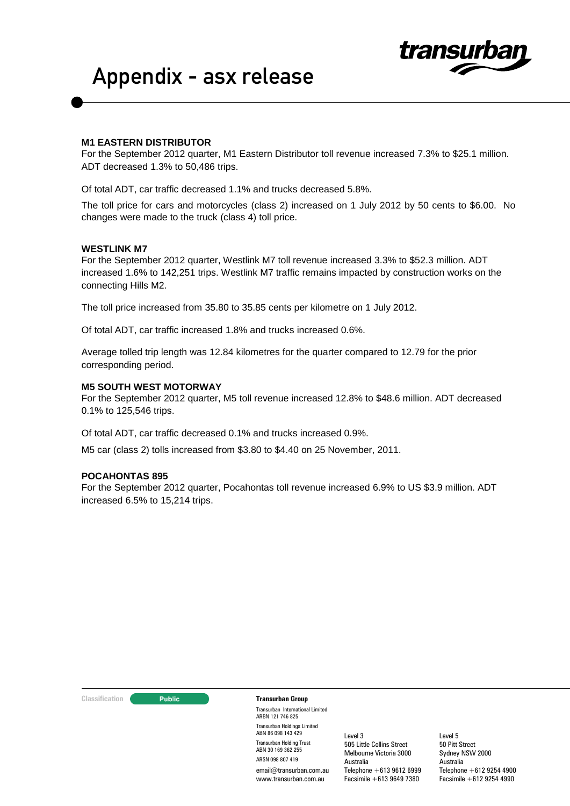



# **M1 EASTERN DISTRIBUTOR**

For the September 2012 quarter, M1 Eastern Distributor toll revenue increased 7.3% to \$25.1 million. ADT decreased 1.3% to 50,486 trips.

Of total ADT, car traffic decreased 1.1% and trucks decreased 5.8%.

The toll price for cars and motorcycles (class 2) increased on 1 July 2012 by 50 cents to \$6.00. No changes were made to the truck (class 4) toll price.

# **WESTLINK M7**

For the September 2012 quarter, Westlink M7 toll revenue increased 3.3% to \$52.3 million. ADT increased 1.6% to 142,251 trips. Westlink M7 traffic remains impacted by construction works on the connecting Hills M2.

The toll price increased from 35.80 to 35.85 cents per kilometre on 1 July 2012.

Of total ADT, car traffic increased 1.8% and trucks increased 0.6%.

Average tolled trip length was 12.84 kilometres for the quarter compared to 12.79 for the prior corresponding period.

#### **M5 SOUTH WEST MOTORWAY**

For the September 2012 quarter, M5 toll revenue increased 12.8% to \$48.6 million. ADT decreased 0.1% to 125,546 trips.

Of total ADT, car traffic decreased 0.1% and trucks increased 0.9%.

M5 car (class 2) tolls increased from \$3.80 to \$4.40 on 25 November, 2011.

# **POCAHONTAS 895**

For the September 2012 quarter, Pocahontas toll revenue increased 6.9% to US \$3.9 million. ADT increased 6.5% to 15,214 trips.

**Classification Constitution Transurban Group** 

Transurban International Limited ARBN 121 746 825 Transurban Holdings Limited ABN 86 098 143 429 Transurban Holding Trust ABN 30 169 362 255 ARSN 098 807 419 email@transurban.com.au www.transurban.com.au

Level 3 505 Little Collins Street Melbourne Victoria 3000 Australia Telephone +613 9612 6999 Facsimile +613 9649 7380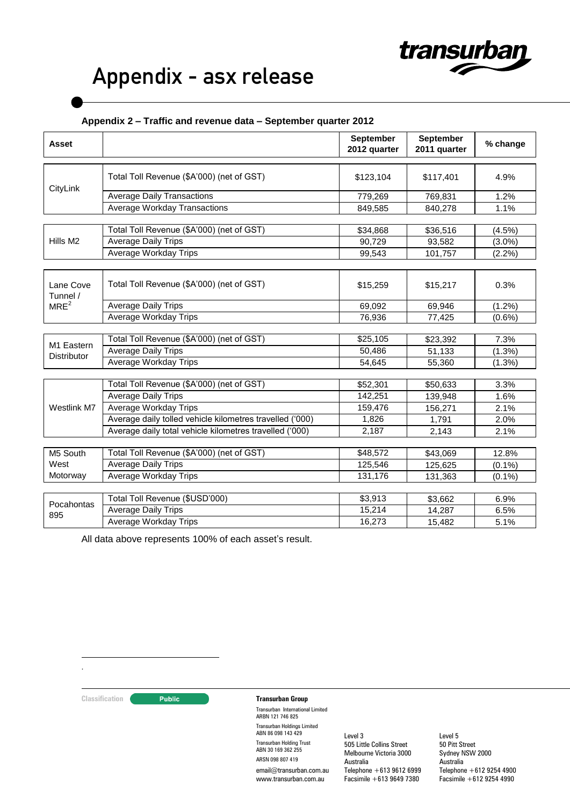# Appendix - asx release

# **Appendix 2 – Traffic and revenue data – September quarter 2012**

| <b>Asset</b>                     |                                                          | September<br>2012 quarter | September<br>2011 quarter | % change  |
|----------------------------------|----------------------------------------------------------|---------------------------|---------------------------|-----------|
| CityLink                         | Total Toll Revenue (\$A'000) (net of GST)                | \$123,104                 | \$117,401                 | 4.9%      |
|                                  | <b>Average Daily Transactions</b>                        | 779,269                   | 769,831                   | 1.2%      |
|                                  | Average Workday Transactions                             | 849,585                   | 840,278                   | 1.1%      |
|                                  |                                                          |                           |                           |           |
| Hills M <sub>2</sub>             | Total Toll Revenue (\$A'000) (net of GST)                | \$34,868                  | \$36,516                  | $(4.5\%)$ |
|                                  | <b>Average Daily Trips</b>                               | 90,729                    | 93,582                    | $(3.0\%)$ |
|                                  | <b>Average Workday Trips</b>                             | 99,543                    | 101,757                   | $(2.2\%)$ |
| Lane Cove<br>Tunnel /            | Total Toll Revenue (\$A'000) (net of GST)                | \$15,259                  | \$15,217                  | 0.3%      |
| MRE <sup>2</sup>                 | <b>Average Daily Trips</b>                               | 69,092                    | 69,946                    | $(1.2\%)$ |
|                                  | Average Workday Trips                                    | 76,936                    | 77,425                    | $(0.6\%)$ |
|                                  |                                                          |                           |                           |           |
| M1 Eastern<br><b>Distributor</b> | Total Toll Revenue (\$A'000) (net of GST)                | \$25,105                  | \$23,392                  | 7.3%      |
|                                  | <b>Average Daily Trips</b>                               | 50,486                    | 51,133                    | (1.3%)    |
|                                  | Average Workday Trips                                    | 54,645                    | 55,360                    | $(1.3\%)$ |
|                                  | Total Toll Revenue (\$A'000) (net of GST)                | \$52,301                  | \$50,633                  | 3.3%      |
| Westlink M7                      | <b>Average Daily Trips</b>                               | 142,251                   | 139,948                   | 1.6%      |
|                                  | <b>Average Workday Trips</b>                             | 159,476                   | 156,271                   | 2.1%      |
|                                  | Average daily tolled vehicle kilometres travelled ('000) | 1,826                     | 1,791                     | 2.0%      |
|                                  | Average daily total vehicle kilometres travelled ('000)  | 2,187                     | 2,143                     | 2.1%      |
|                                  |                                                          |                           |                           |           |
| M5 South                         | Total Toll Revenue (\$A'000) (net of GST)                | \$48,572                  | \$43,069                  | 12.8%     |
| West                             | <b>Average Daily Trips</b>                               | 125,546                   | 125,625                   | $(0.1\%)$ |
| Motorway                         | Average Workday Trips                                    | 131,176                   | 131,363                   | $(0.1\%)$ |
|                                  |                                                          |                           |                           |           |
| Pocahontas                       | Total Toll Revenue (\$USD'000)                           | \$3,913                   | \$3,662                   | 6.9%      |
| 895                              | <b>Average Daily Trips</b>                               | 15,214                    | 14,287                    | 6.5%      |
|                                  | Average Workday Trips                                    | 16,273                    | 15,482                    | 5.1%      |

All data above represents 100% of each asset's result.

1 .

**Classification Transurban Group** 

Transurban International Limited ARBN 121 746 825 Transurban Holdings Limited ABN 86 098 143 429 Transurban Holding Trust ABN 30 169 362 255 ARSN 098 807 419 email@transurban.com.au www.transurban.com.au

Level 3 505 Little Collins Street Melbourne Victoria 3000 Australia  $Telephone +613 9612 6999$ Facsimile +613 9649 7380

Level 5 50 Pitt Street Sydney NSW 2000 Australia Telephone +612 9254 4900 Facsimile +612 9254 4990

transurban